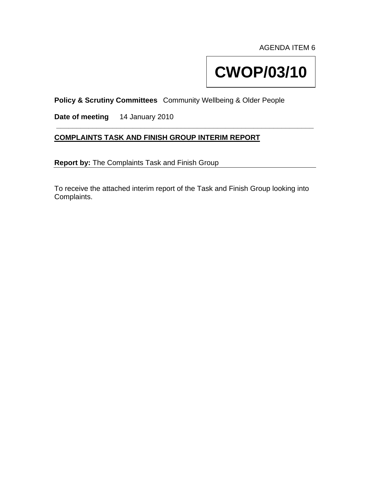AGENDA ITEM 6

# **CWOP/03/10**

**Policy & Scrutiny Committees** Community Wellbeing & Older People

**Date of meeting** 14 January 2010

## **COMPLAINTS TASK AND FINISH GROUP INTERIM REPORT**

**Report by:** The Complaints Task and Finish Group

To receive the attached interim report of the Task and Finish Group looking into Complaints.

**\_\_\_\_\_\_\_\_\_\_\_\_\_\_\_\_\_\_\_\_\_\_\_\_\_\_\_\_\_\_\_\_\_\_\_\_\_\_\_\_\_\_\_\_\_\_\_\_\_\_\_\_\_\_\_\_\_\_\_\_\_\_\_\_**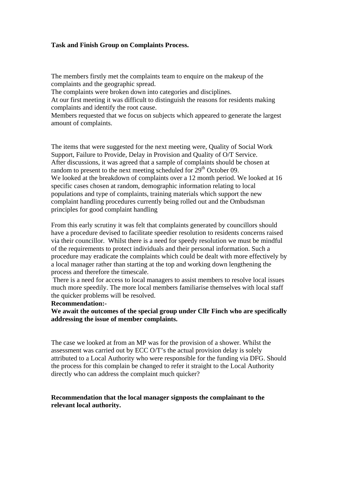#### **Task and Finish Group on Complaints Process.**

The members firstly met the complaints team to enquire on the makeup of the complaints and the geographic spread.

The complaints were broken down into categories and disciplines.

At our first meeting it was difficult to distinguish the reasons for residents making complaints and identify the root cause.

Members requested that we focus on subjects which appeared to generate the largest amount of complaints.

The items that were suggested for the next meeting were, Quality of Social Work Support, Failure to Provide, Delay in Provision and Quality of O/T Service. After discussions, it was agreed that a sample of complaints should be chosen at random to present to the next meeting scheduled for  $29<sup>th</sup>$  October 09. We looked at the breakdown of complaints over a 12 month period. We looked at 16 specific cases chosen at random, demographic information relating to local populations and type of complaints, training materials which support the new complaint handling procedures currently being rolled out and the Ombudsman principles for good complaint handling

From this early scrutiny it was felt that complaints generated by councillors should have a procedure devised to facilitate speedier resolution to residents concerns raised via their councillor. Whilst there is a need for speedy resolution we must be mindful of the requirements to protect individuals and their personal information. Such a procedure may eradicate the complaints which could be dealt with more effectively by a local manager rather than starting at the top and working down lengthening the process and therefore the timescale.

 There is a need for access to local managers to assist members to resolve local issues much more speedily. The more local members familiarise themselves with local staff the quicker problems will be resolved.

#### **Recommendation:-**

**We await the outcomes of the special group under Cllr Finch who are specifically addressing the issue of member complaints.** 

The case we looked at from an MP was for the provision of a shower. Whilst the assessment was carried out by ECC O/T's the actual provision delay is solely attributed to a Local Authority who were responsible for the funding via DFG. Should the process for this complain be changed to refer it straight to the Local Authority directly who can address the complaint much quicker?

### **Recommendation that the local manager signposts the complainant to the relevant local authority.**